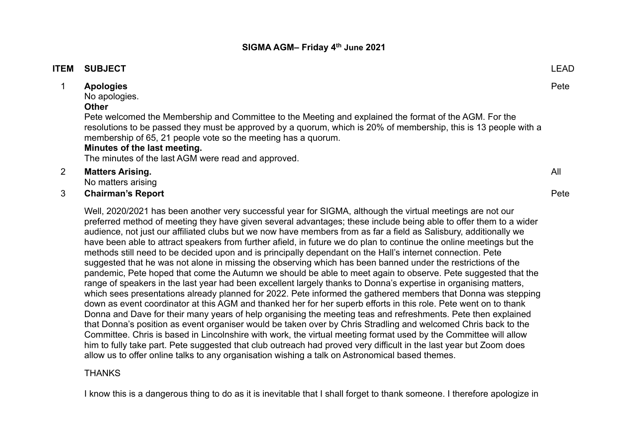#### **ITEM SUBJECT** LEAD

## 1 **Apologies**

No apologies.

#### **Other**

Pete welcomed the Membership and Committee to the Meeting and explained the format of the AGM. For the resolutions to be passed they must be approved by a quorum, which is 20% of membership, this is 13 people with a membership of 65, 21 people vote so the meeting has a quorum.

#### **Minutes of the last meeting.**

The minutes of the last AGM were read and approved.

## 2 **Matters Arising.**

No matters arising

#### 3 **Chairman's Report**

Well, 2020/2021 has been another very successful year for SIGMA, although the virtual meetings are not our preferred method of meeting they have given several advantages; these include being able to offer them to a wider audience, not just our affiliated clubs but we now have members from as far a field as Salisbury, additionally we have been able to attract speakers from further afield, in future we do plan to continue the online meetings but the methods still need to be decided upon and is principally dependant on the Hall's internet connection. Pete suggested that he was not alone in missing the observing which has been banned under the restrictions of the pandemic, Pete hoped that come the Autumn we should be able to meet again to observe. Pete suggested that the range of speakers in the last year had been excellent largely thanks to Donna's expertise in organising matters, which sees presentations already planned for 2022. Pete informed the gathered members that Donna was stepping down as event coordinator at this AGM and thanked her for her superb efforts in this role. Pete went on to thank Donna and Dave for their many years of help organising the meeting teas and refreshments. Pete then explained that Donna's position as event organiser would be taken over by Chris Stradling and welcomed Chris back to the Committee. Chris is based in Lincolnshire with work, the virtual meeting format used by the Committee will allow him to fully take part. Pete suggested that club outreach had proved very difficult in the last year but Zoom does allow us to offer online talks to any organisation wishing a talk on Astronomical based themes.

#### THANKS

I know this is a dangerous thing to do as it is inevitable that I shall forget to thank someone. I therefore apologize in

Pete

All

#### Pete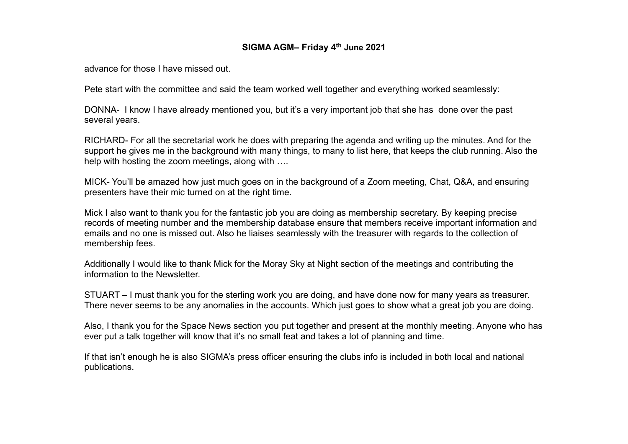advance for those I have missed out.

Pete start with the committee and said the team worked well together and everything worked seamlessly:

DONNA- I know I have already mentioned you, but it's a very important job that she has done over the past several years.

RICHARD- For all the secretarial work he does with preparing the agenda and writing up the minutes. And for the support he gives me in the background with many things, to many to list here, that keeps the club running. Also the help with hosting the zoom meetings, along with ….

MICK- You'll be amazed how just much goes on in the background of a Zoom meeting, Chat, Q&A, and ensuring presenters have their mic turned on at the right time.

Mick I also want to thank you for the fantastic job you are doing as membership secretary. By keeping precise records of meeting number and the membership database ensure that members receive important information and emails and no one is missed out. Also he liaises seamlessly with the treasurer with regards to the collection of membership fees.

Additionally I would like to thank Mick for the Moray Sky at Night section of the meetings and contributing the information to the Newsletter.

STUART – I must thank you for the sterling work you are doing, and have done now for many years as treasurer. There never seems to be any anomalies in the accounts. Which just goes to show what a great job you are doing.

Also, I thank you for the Space News section you put together and present at the monthly meeting. Anyone who has ever put a talk together will know that it's no small feat and takes a lot of planning and time.

If that isn't enough he is also SIGMA's press officer ensuring the clubs info is included in both local and national publications.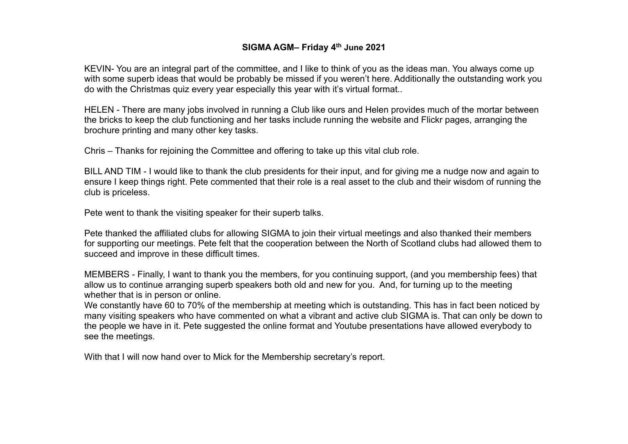KEVIN- You are an integral part of the committee, and I like to think of you as the ideas man. You always come up with some superb ideas that would be probably be missed if you weren't here. Additionally the outstanding work you do with the Christmas quiz every year especially this year with it's virtual format..

HELEN - There are many jobs involved in running a Club like ours and Helen provides much of the mortar between the bricks to keep the club functioning and her tasks include running the website and Flickr pages, arranging the brochure printing and many other key tasks.

Chris – Thanks for rejoining the Committee and offering to take up this vital club role.

BILL AND TIM - I would like to thank the club presidents for their input, and for giving me a nudge now and again to ensure I keep things right. Pete commented that their role is a real asset to the club and their wisdom of running the club is priceless.

Pete went to thank the visiting speaker for their superb talks.

Pete thanked the affiliated clubs for allowing SIGMA to join their virtual meetings and also thanked their members for supporting our meetings. Pete felt that the cooperation between the North of Scotland clubs had allowed them to succeed and improve in these difficult times.

MEMBERS - Finally, I want to thank you the members, for you continuing support, (and you membership fees) that allow us to continue arranging superb speakers both old and new for you. And, for turning up to the meeting whether that is in person or online.

We constantly have 60 to 70% of the membership at meeting which is outstanding. This has in fact been noticed by many visiting speakers who have commented on what a vibrant and active club SIGMA is. That can only be down to the people we have in it. Pete suggested the online format and Youtube presentations have allowed everybody to see the meetings.

With that I will now hand over to Mick for the Membership secretary's report.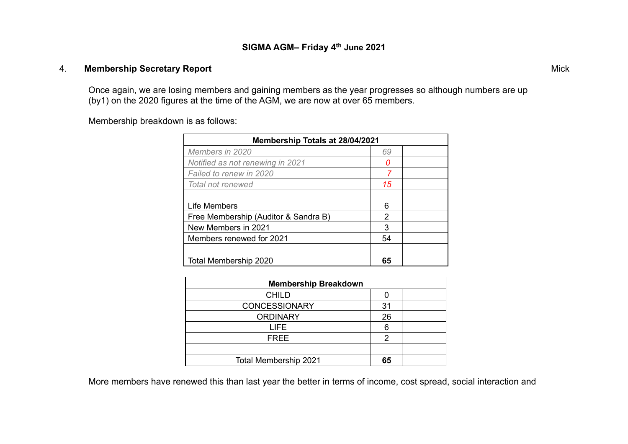## 4. **Membership Secretary Report**

Once again, we are losing members and gaining members as the year progresses so although numbers are up (by1) on the 2020 figures at the time of the AGM, we are now at over 65 members.

Membership breakdown is as follows:

| Membership Totals at 28/04/2021      |    |  |
|--------------------------------------|----|--|
| Members in 2020                      | 69 |  |
| Notified as not renewing in 2021     | O  |  |
| Failed to renew in 2020              | 7  |  |
| Total not renewed                    | 15 |  |
|                                      |    |  |
| <b>Life Members</b>                  | 6  |  |
| Free Membership (Auditor & Sandra B) | 2  |  |
| New Members in 2021                  | 3  |  |
| Members renewed for 2021             | 54 |  |
|                                      |    |  |
| Total Membership 2020                | 65 |  |

| <b>Membership Breakdown</b> |    |  |
|-----------------------------|----|--|
| <b>CHILD</b>                |    |  |
| <b>CONCESSIONARY</b>        | 31 |  |
| <b>ORDINARY</b>             | 26 |  |
| LIFE                        |    |  |
| <b>FREE</b>                 | 2  |  |
|                             |    |  |
| Total Membership 2021       | 65 |  |

More members have renewed this than last year the better in terms of income, cost spread, social interaction and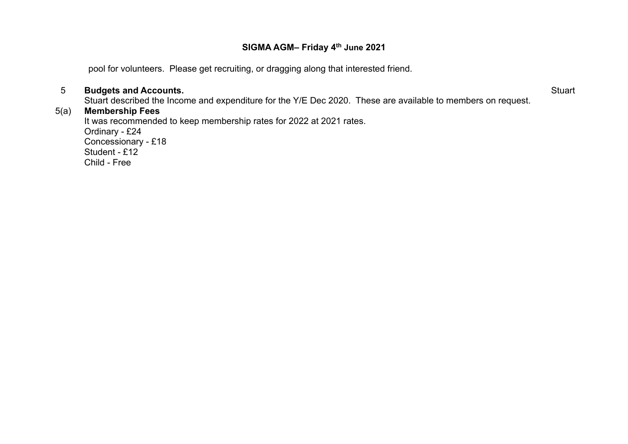pool for volunteers. Please get recruiting, or dragging along that interested friend.

## 5 **Budgets and Accounts.**

**Stuart** 

Stuart described the Income and expenditure for the Y/E Dec 2020. These are available to members on request.

## 5(a) **Membership Fees**

It was recommended to keep membership rates for 2022 at 2021 rates. Ordinary - £24

Concessionary - £18 Student - £12 Child - Free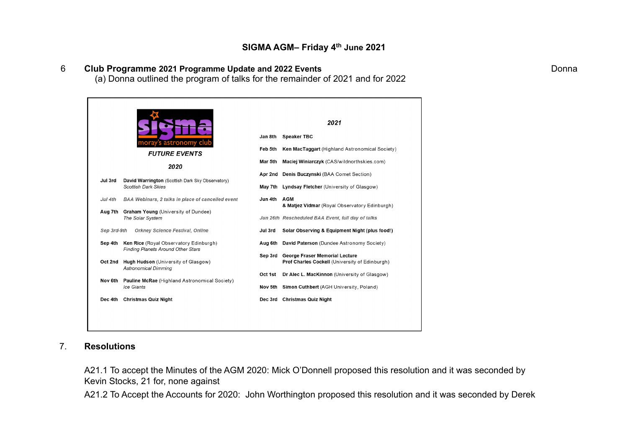# 6 **Club Programme 2021 Programme Update and 2022 Events**

(a) Donna outlined the program of talks for the remainder of 2021 and for 2022

|             |                                                                                                                  |                                     | 2021                                                                                               |  |  |
|-------------|------------------------------------------------------------------------------------------------------------------|-------------------------------------|----------------------------------------------------------------------------------------------------|--|--|
|             |                                                                                                                  | Jan 8th                             | <b>Speaker TBC</b>                                                                                 |  |  |
|             | moray's astronomy clut<br><b>FUTURE EVENTS</b>                                                                   | Feb 5th                             | <b>Ken MacTaggart</b> (Highland Astronomical Society)                                              |  |  |
| 2020        |                                                                                                                  | Mar 5th                             | Maciej Winiarczyk (CAS/wildnorthskies.com)                                                         |  |  |
|             | Apr 2nd                                                                                                          | Denis Buczynski (BAA Comet Section) |                                                                                                    |  |  |
| Jul 3rd     | David Warrington (Scottish Dark Sky Observatory)<br><b>Scottish Dark Skies</b>                                   |                                     | May 7th Lyndsay Fletcher (University of Glasgow)                                                   |  |  |
| Jul 4th     | <b>BAA Webinars, 2 talks in place of cancelled event</b>                                                         | Jun 4th                             | <b>AGM</b>                                                                                         |  |  |
|             | Aug 7th Graham Young (University of Dundee)<br>The Solar System                                                  |                                     | & Matjez Vidmar (Royal Observatory Edinburgh)<br>Jun 26th Rescheduled BAA Event, full day of talks |  |  |
| Sep 3rd-9th | Orkney Science Festival, Online                                                                                  | Jul 3rd                             | Solar Observing & Equipment Night (plus food!)                                                     |  |  |
|             | Sep 4th Ken Rice (Royal Observatory Edinburgh)                                                                   |                                     | Aug 6th David Paterson (Dundee Astronomy Society)                                                  |  |  |
|             | <b>Finding Planets Around Other Stars</b><br>Oct 2nd Hugh Hudson (University of Glasgow)<br>Astronomical Dimming | Sep 3rd                             | George Fraser Memorial Lecture<br><b>Prof Charles Cockell (University of Edinburgh)</b>            |  |  |
| Nov 6th     | <b>Pauline McRae</b> (Highland Astronomical Society)<br>Ice Giants                                               | Oct 1st                             | Dr Alec L. MacKinnon (University of Glasgow)<br>Nov 5th Simon Cuthbert (AGH University, Poland)    |  |  |
|             | Dec 4th Christmas Quiz Night                                                                                     |                                     | Dec 3rd Christmas Quiz Night                                                                       |  |  |

# 7. **Resolutions**

A21.1 To accept the Minutes of the AGM 2020: Mick O'Donnell proposed this resolution and it was seconded by Kevin Stocks, 21 for, none against

A21.2 To Accept the Accounts for 2020: John Worthington proposed this resolution and it was seconded by Derek

Donna